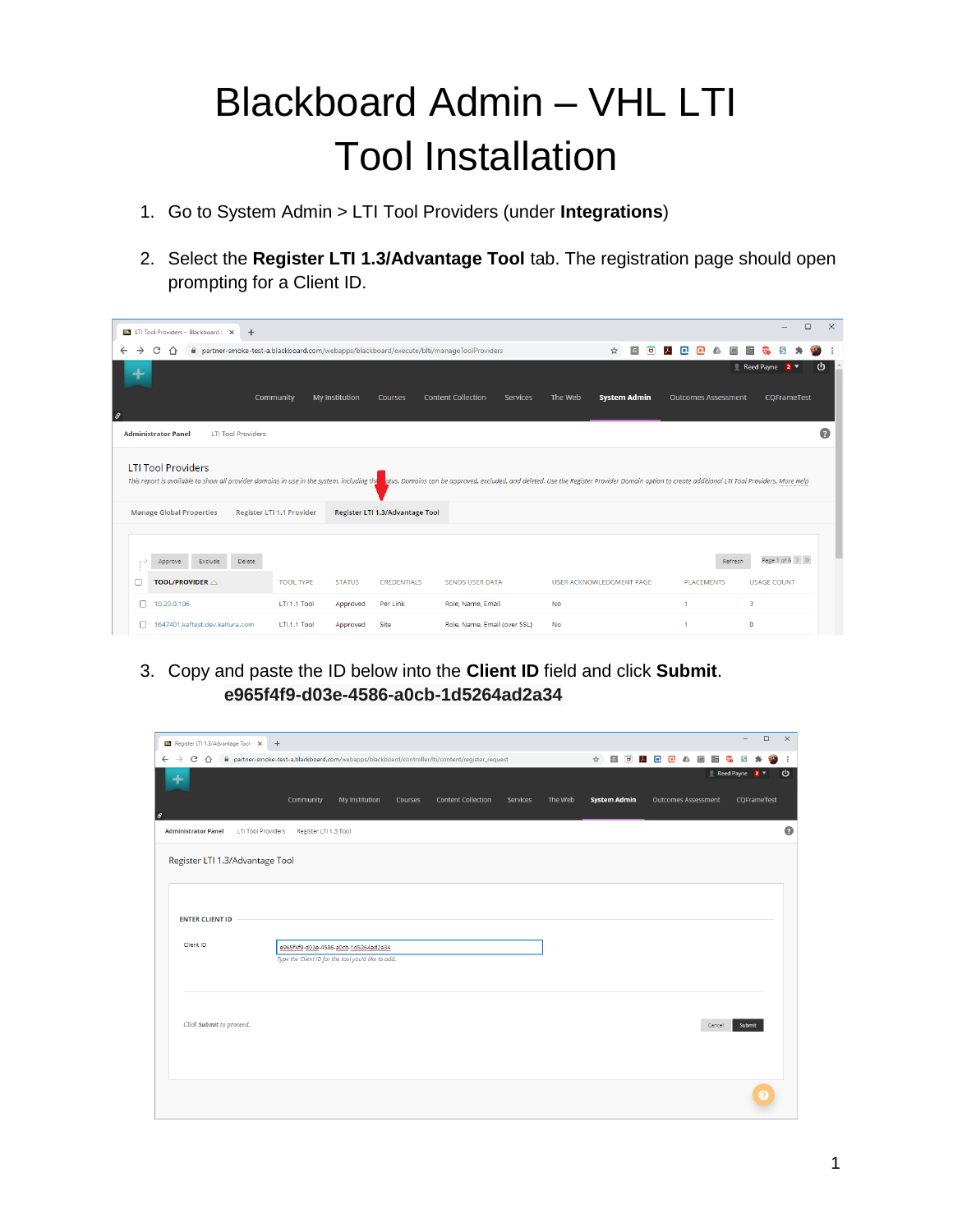## Blackboard Admin – VHL LTI Tool Installation

- 1. Go to System Admin > LTI Tool Providers (under **Integrations**)
- 2. Select the **Register LTI 1.3/Advantage Tool** tab. The registration page should open prompting for a Client ID.

| <b>BB</b> LTI Tool Providers - Blackboard LEX<br>$+$                                                                                                                                                                                                                                           |                             |                                                                                         |                                              |                                            |                              | $\Box$<br>$\times$                          |
|------------------------------------------------------------------------------------------------------------------------------------------------------------------------------------------------------------------------------------------------------------------------------------------------|-----------------------------|-----------------------------------------------------------------------------------------|----------------------------------------------|--------------------------------------------|------------------------------|---------------------------------------------|
| C<br>$\rightarrow$<br>$\leftarrow$<br>⇧                                                                                                                                                                                                                                                        |                             | partner-smoke-test-a.blackboard.com/webapps/blackboard/execute/blti/manageToolProviders |                                              | ☆<br>$\overline{G}$<br>$\overline{a}$<br>人 | o<br>n                       |                                             |
|                                                                                                                                                                                                                                                                                                | Community<br>My Institution | Courses                                                                                 | <b>Content Collection</b><br><b>Services</b> | The Web<br><b>System Admin</b>             | <b>Outcomes Assessment</b>   | Reed Payne 2 v<br>υ<br>CQFrameTest          |
| $\theta$                                                                                                                                                                                                                                                                                       |                             |                                                                                         |                                              |                                            |                              |                                             |
| <b>Administrator Panel</b><br><b>LTI Tool Providers</b>                                                                                                                                                                                                                                        |                             |                                                                                         |                                              |                                            |                              | 2                                           |
| <b>LTI Tool Providers</b><br>This report is available to show all provider domains in use in the system, including the atus. Domains can be approved, excluded, and deleted. Use the Register Provider Domain option to create additional LTI Tool Provider<br><b>Manage Global Properties</b> | Register LTI 1.1 Provider   | Register LTI 1.3/Advantage Tool                                                         |                                              |                                            |                              |                                             |
| Delete<br>Exclude<br>Approve<br>- 1<br>TOOL/PROVIDER $\triangle$                                                                                                                                                                                                                               | <b>TOOL TYPE</b>            | <b>STATUS</b><br><b>CREDENTIALS</b>                                                     | <b>SENDS USER DATA</b>                       | <b>USER ACKNOWLEDGMENT PAGE</b>            | Refresh<br><b>PLACEMENTS</b> | Page 1 of 6 $>$ $\gg$<br><b>USAGE COUNT</b> |
| 10.20.0.106                                                                                                                                                                                                                                                                                    | LTI 1.1 Tool                | Per Link<br>Approved                                                                    | Role, Name, Email                            | <b>No</b>                                  |                              | 3                                           |
| 1647401.kaftest.dev.kaltura.com<br>H                                                                                                                                                                                                                                                           | LTI 1.1 Tool                | Site<br>Approved                                                                        | Role, Name, Email (over SSL)                 | <b>No</b>                                  |                              | $\mathbf 0$                                 |

3. Copy and paste the ID below into the **Client ID** field and click **Submit**. **e965f4f9-d03e-4586-a0cb-1d5264ad2a34**

| BB Register LTI 1.3/Advantage Tool - X +                  |                                                    |                                      |         |                                                                                                  |          |         |                     |         |                            |            | $\overline{\phantom{0}}$        | $\Box$ | $\times$  |
|-----------------------------------------------------------|----------------------------------------------------|--------------------------------------|---------|--------------------------------------------------------------------------------------------------|----------|---------|---------------------|---------|----------------------------|------------|---------------------------------|--------|-----------|
| $\leftarrow$ $\rightarrow$ C $\Omega$                     |                                                    |                                      |         | i partner-smoke-test-a.blackboard.com/webapps/blackboard/controller/lti/content/register_request |          |         | ☆                   | GUADOAM |                            | <b>Ris</b> |                                 |        | ÷         |
|                                                           | Community                                          | My Institution                       | Courses | <b>Content Collection</b>                                                                        | Services | The Web | <b>System Admin</b> |         | <b>Outcomes Assessment</b> |            | ■ Reed Payne 2 ▼<br>CQFrameTest |        | ৬         |
|                                                           |                                                    |                                      |         |                                                                                                  |          |         |                     |         |                            |            |                                 |        |           |
| <b>Administrator Panel</b><br><b>LTI Tool Providers</b>   | Register LTI 1.3 Tool                              |                                      |         |                                                                                                  |          |         |                     |         |                            |            |                                 |        | $\bullet$ |
| Register LTI 1.3/Advantage Tool<br><b>ENTER CLIENT ID</b> |                                                    |                                      |         |                                                                                                  |          |         |                     |         |                            |            |                                 |        |           |
| Client ID                                                 | Type the Client ID for the tool you'd like to add. | e965f4f9-d03e-4586-a0cb-1d5264ad2a34 |         |                                                                                                  |          |         |                     |         |                            |            |                                 |        |           |
| Click Submit to proceed.                                  |                                                    |                                      |         |                                                                                                  |          |         |                     |         |                            | Cancel     | Submit                          |        |           |
|                                                           |                                                    |                                      |         |                                                                                                  |          |         |                     |         |                            |            |                                 |        |           |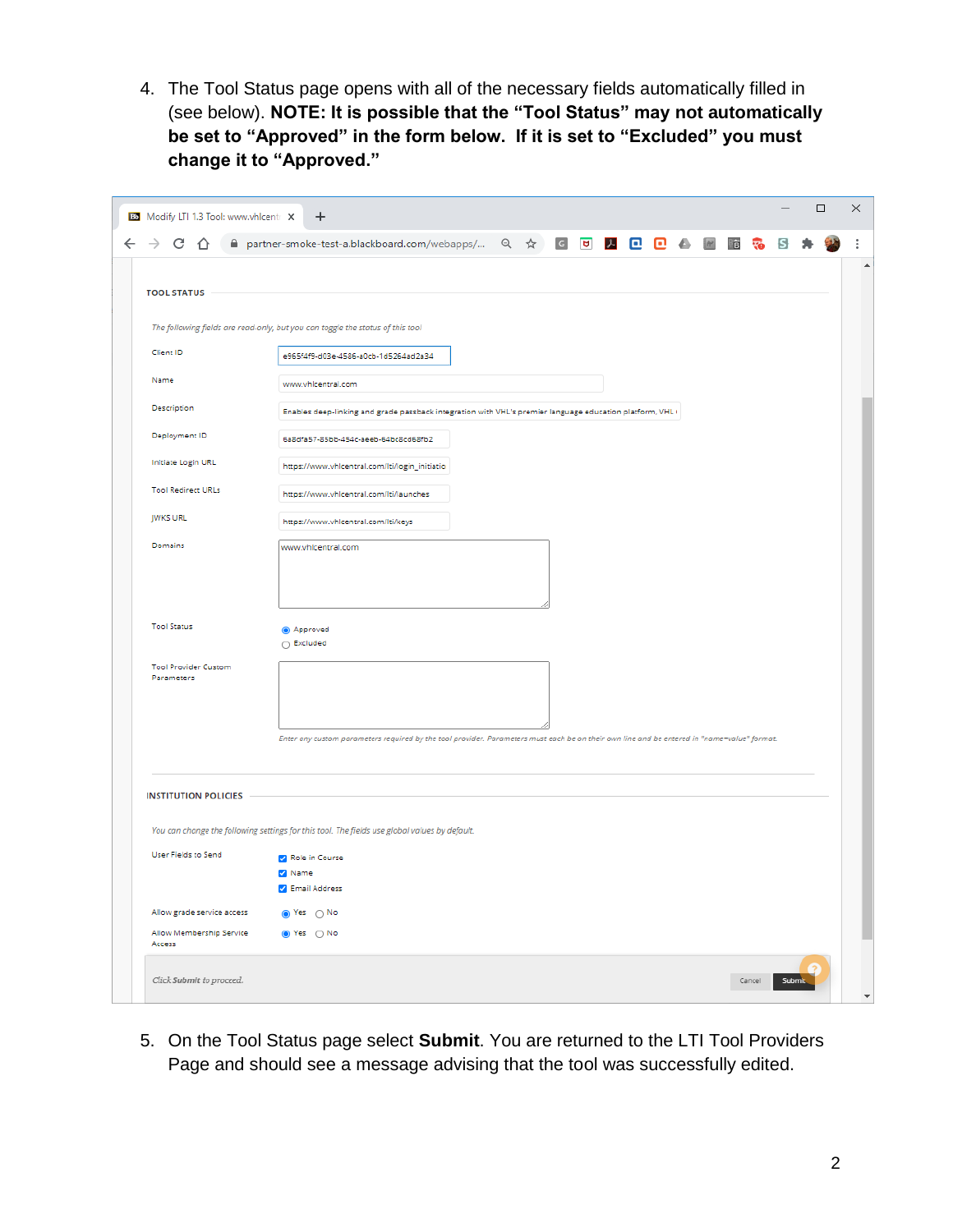4. The Tool Status page opens with all of the necessary fields automatically filled in (see below). **NOTE: It is possible that the "Tool Status" may not automatically be set to "Approved" in the form below. If it is set to "Excluded" you must change it to "Approved."**

| C                                         | łS.                                                                                                                                         |  |
|-------------------------------------------|---------------------------------------------------------------------------------------------------------------------------------------------|--|
|                                           | A partner-smoke-test-a.blackboard.com/webapps/ Q ☆ G <mark>+ G + B + B + B + B + G</mark>                                                   |  |
|                                           |                                                                                                                                             |  |
| <b>TOOL STATUS</b>                        |                                                                                                                                             |  |
|                                           | The following fields are read-only, but you can toggle the status of this tool                                                              |  |
| Client ID                                 | e965f4f9-d03e-4586-a0cb-1d5264ad2a34                                                                                                        |  |
| Name                                      | www.vhicentral.com                                                                                                                          |  |
| Description                               | Enables deep-linking and grade passback integration with VHL's premier language education platform, VHL+                                    |  |
| Deployment ID                             | 6a8dfa57-85bb-454c-aeeb-64bc8cd68fb2                                                                                                        |  |
| Initiate Login URL                        | https://www.vhlcentral.com/lti/login_initiatio                                                                                              |  |
| <b>Tool Redirect URLs</b>                 | https://www.vhicentral.com/lti/launches                                                                                                     |  |
| <b>JWKS URL</b>                           | https://www.vhlcentral.com/lti/keys                                                                                                         |  |
| Domains                                   | www.vhicentral.com                                                                                                                          |  |
|                                           |                                                                                                                                             |  |
|                                           |                                                                                                                                             |  |
| <b>Tool Status</b>                        | Approved                                                                                                                                    |  |
|                                           | ○ Excluded                                                                                                                                  |  |
| <b>Tool Provider Custom</b><br>Parameters |                                                                                                                                             |  |
|                                           |                                                                                                                                             |  |
|                                           |                                                                                                                                             |  |
|                                           | Enter any custom parameters required by the tool provider. Parameters must each be on their own line and be entered in "name=value" format. |  |
|                                           |                                                                                                                                             |  |
| <b>INSTITUTION POLICIES</b>               |                                                                                                                                             |  |
|                                           | You can change the following settings for this tool. The fields use global values by default.                                               |  |
| User Fields to Send                       | Role in Course                                                                                                                              |  |
|                                           | 2 Name                                                                                                                                      |  |
|                                           | Z Email Address                                                                                                                             |  |
| Allow grade service access                | s Yes ∩ No                                                                                                                                  |  |
| Allow Membership Service<br>Access        | ● Yes ○ No                                                                                                                                  |  |
|                                           |                                                                                                                                             |  |

5. On the Tool Status page select **Submit**. You are returned to the LTI Tool Providers Page and should see a message advising that the tool was successfully edited.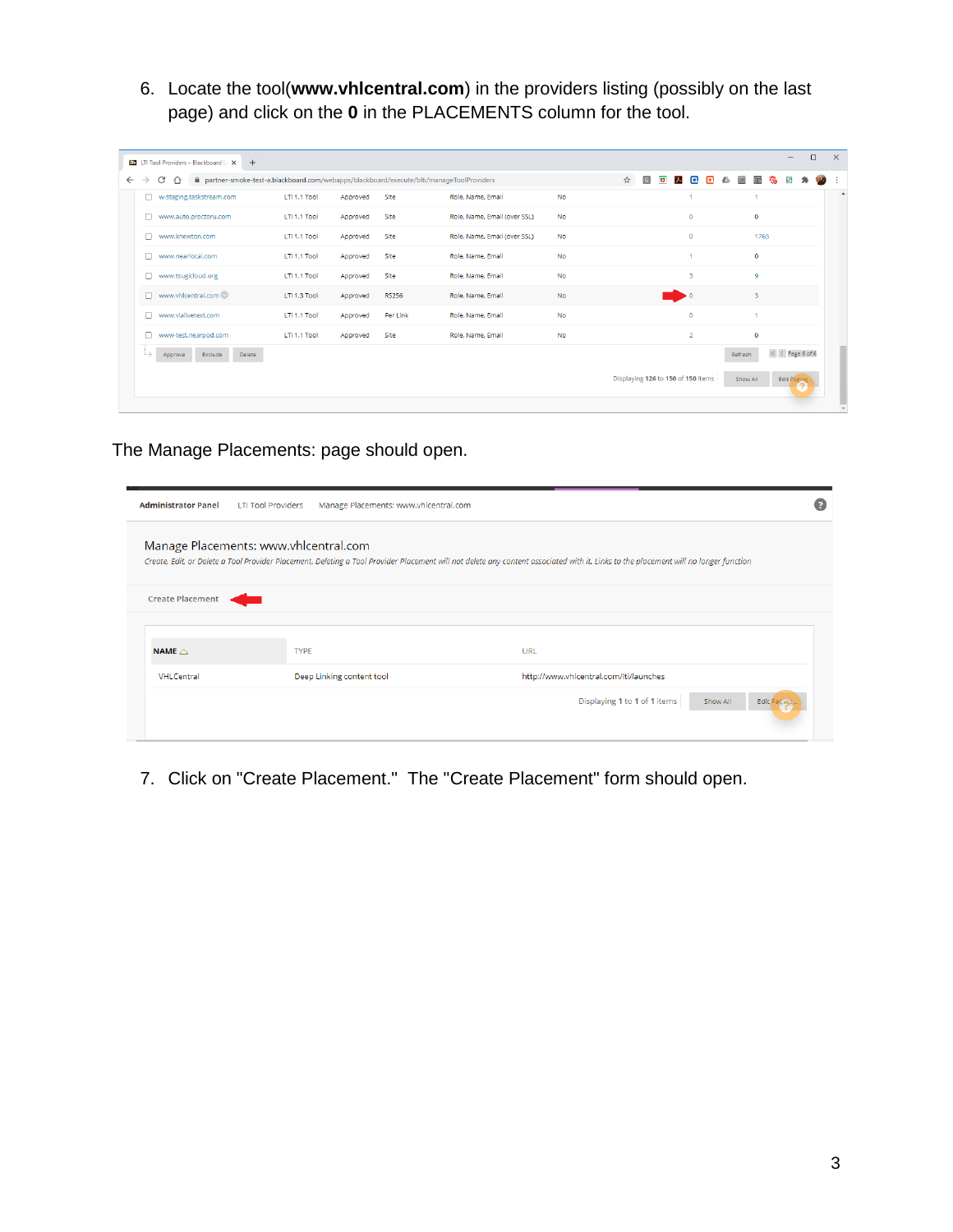6. Locate the tool(**www.vhlcentral.com**) in the providers listing (possibly on the last page) and click on the **0** in the PLACEMENTS column for the tool.

| nather-smoke-test-a.blackboard.com/webapps/blackboard/execute/blti/manageToolProviders<br>C<br>$\rightarrow$<br>∩ |              |          |              |                              |           | ☆                                  | $\boxed{G}$ | $\mathcal{F}$<br>$\overline{a}$ | $\Box$                  | o |          | 酯<br>ಸಾ        |                    |                     |
|-------------------------------------------------------------------------------------------------------------------|--------------|----------|--------------|------------------------------|-----------|------------------------------------|-------------|---------------------------------|-------------------------|---|----------|----------------|--------------------|---------------------|
| □ w-staging.taskstream.com                                                                                        | LTI 1.1 Tool | Approved | Site         | Role, Name, Email            | <b>No</b> |                                    |             |                                 |                         |   |          |                |                    |                     |
| www.auto.proctoru.com<br>n                                                                                        | LTI 1.1 Tool | Approved | Site         | Role, Name, Email (over SSL) | <b>No</b> |                                    |             |                                 | $\mathbf 0$             |   |          | $\bullet$      |                    |                     |
| n<br>www.knewton.com                                                                                              | LTI 1.1 Tool | Approved | Site         | Role, Name, Email (over SSL) | <b>No</b> |                                    |             |                                 | $\Omega$                |   |          | 1765           |                    |                     |
| www.nearlocal.com<br>n                                                                                            | LTI 1.1 Tool | Approved | Site         | Role, Name, Email            | <b>No</b> |                                    |             |                                 |                         |   |          | $\bullet$      |                    |                     |
| www.tsugicloud.org<br>□                                                                                           | LTI 1.1 Tool | Approved | Site         | Role, Name, Email            | <b>No</b> |                                    |             |                                 | $\overline{\mathbf{3}}$ |   |          | $\overline{9}$ |                    |                     |
| www.vhlcentral.com<br>n.                                                                                          | LTI 1.3 Tool | Approved | <b>RS256</b> | Role, Name, Email            | No        |                                    |             |                                 | $\cdot$ 0               |   |          | 3              |                    |                     |
| www.vialivetext.com<br>$\Box$                                                                                     | LTI 1.1 Tool | Approved | Per Link     | Role, Name, Email            | No        |                                    |             |                                 | $\circ$                 |   |          |                |                    |                     |
| www-test.nearpod.com<br>n                                                                                         | LTI 1.1 Tool | Approved | Site         | Role, Name, Email            | <b>No</b> |                                    |             |                                 | $\overline{2}$          |   |          | $\circ$        |                    |                     |
| L.)<br>Exclude<br>Delete<br>Approve                                                                               |              |          |              |                              |           |                                    |             |                                 |                         |   | Refresh  |                |                    | $\ll$ < Page 6 of 6 |
|                                                                                                                   |              |          |              |                              |           | Displaying 126 to 150 of 150 items |             |                                 |                         |   | Show All |                | <b>Edit Paging</b> |                     |

The Manage Placements: page should open.

| <b>Administrator Panel</b>            | <b>LTI Tool Providers</b> | Manage Placements: www.vhlcentral.com |     |                                                                                                                                                                                      |  |
|---------------------------------------|---------------------------|---------------------------------------|-----|--------------------------------------------------------------------------------------------------------------------------------------------------------------------------------------|--|
| Manage Placements: www.vhlcentral.com |                           |                                       |     | Create, Edit, or Delete a Tool Provider Placement. Deleting a Tool Provider Placement will not delete any content associated with it. Links to the placement will no longer function |  |
| <b>Create Placement</b>               |                           |                                       |     |                                                                                                                                                                                      |  |
|                                       |                           |                                       |     |                                                                                                                                                                                      |  |
| NAME $\triangle$                      | <b>TYPE</b>               |                                       | URL |                                                                                                                                                                                      |  |
| VHLCentral                            |                           | Deep Linking content tool             |     | http://www.vhlcentral.com/lti/launches                                                                                                                                               |  |
|                                       |                           |                                       |     | Displaying 1 to 1 of 1 items<br>Show All<br><b>Edit Paging.</b>                                                                                                                      |  |

7. Click on "Create Placement." The "Create Placement" form should open.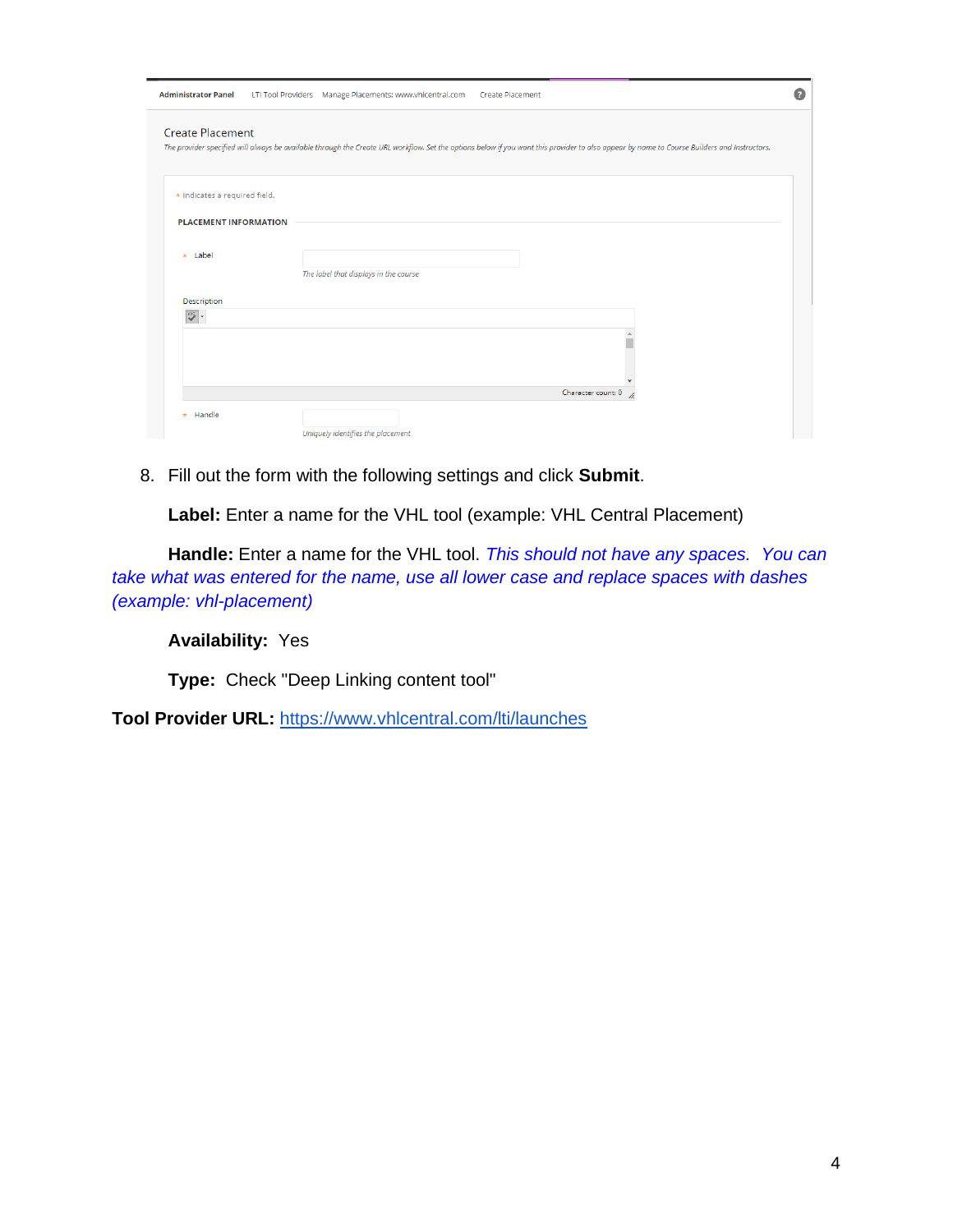| <b>Administrator Panel</b>    | LTI Tool Providers Manage Placements: www.vhlcentral.com  Create Placement |                                                                                                                                                                                             |  |
|-------------------------------|----------------------------------------------------------------------------|---------------------------------------------------------------------------------------------------------------------------------------------------------------------------------------------|--|
| <b>Create Placement</b>       |                                                                            | The provider specified will always be available through the Create URL workflow. Set the options below if you want this provider to also appear by name to Course Builders and Instructors. |  |
| * Indicates a required field. |                                                                            |                                                                                                                                                                                             |  |
| <b>PLACEMENT INFORMATION</b>  |                                                                            |                                                                                                                                                                                             |  |
| * Label                       | The label that displays in the course                                      |                                                                                                                                                                                             |  |
| Description                   |                                                                            |                                                                                                                                                                                             |  |
| $\Rightarrow$                 |                                                                            |                                                                                                                                                                                             |  |
|                               |                                                                            |                                                                                                                                                                                             |  |
|                               |                                                                            | Character count: 0                                                                                                                                                                          |  |
| * Handle                      | Uniquely identifies the placement                                          |                                                                                                                                                                                             |  |

8. Fill out the form with the following settings and click **Submit**.

**Label:** Enter a name for the VHL tool (example: VHL Central Placement)

**Handle:** Enter a name for the VHL tool. *This should not have any spaces. You can take what was entered for the name, use all lower case and replace spaces with dashes (example: vhl-placement)*

**Availability:** Yes

**Type:** Check "Deep Linking content tool"

**Tool Provider URL:** <https://www.vhlcentral.com/lti/launches>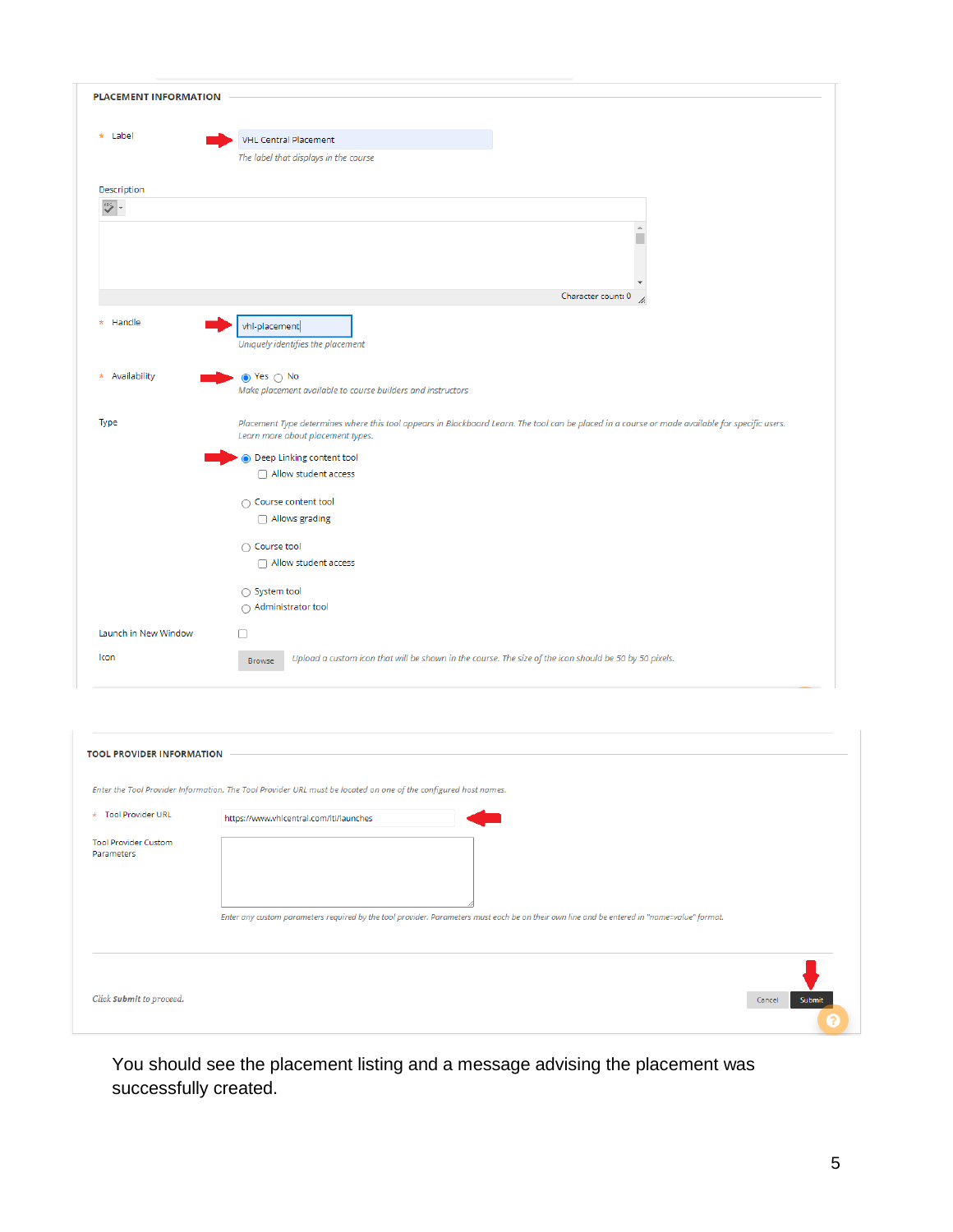| <b>PLACEMENT INFORMATION</b>                               |                                                                                                                                                                                      |
|------------------------------------------------------------|--------------------------------------------------------------------------------------------------------------------------------------------------------------------------------------|
| * Label                                                    | <b>VHL Central Placement</b>                                                                                                                                                         |
|                                                            | The label that displays in the course                                                                                                                                                |
| Description                                                |                                                                                                                                                                                      |
| $\begin{array}{c c} \mathsf{BPS} & \mathsf{w} \end{array}$ |                                                                                                                                                                                      |
|                                                            | $\Delta$                                                                                                                                                                             |
|                                                            | Character count: 0                                                                                                                                                                   |
|                                                            |                                                                                                                                                                                      |
| Handle<br>$\star$                                          | vhl-placement                                                                                                                                                                        |
|                                                            | Uniquely identifies the placement                                                                                                                                                    |
|                                                            |                                                                                                                                                                                      |
| * Availability                                             | $\bullet$ Yes $\circ$ No                                                                                                                                                             |
|                                                            | Make placement available to course builders and instructors                                                                                                                          |
|                                                            |                                                                                                                                                                                      |
| Type                                                       | Placement Type determines where this tool appears in Blackboard Learn. The tool can be placed in a course or made available for specific users.<br>Learn more about placement types. |
|                                                            | O Deep Linking content tool                                                                                                                                                          |
|                                                            | Allow student access                                                                                                                                                                 |
|                                                            |                                                                                                                                                                                      |
|                                                            | $\bigcap$ Course content tool                                                                                                                                                        |
|                                                            | Allows grading                                                                                                                                                                       |
|                                                            | ○ Course tool                                                                                                                                                                        |
|                                                            | Allow student access                                                                                                                                                                 |
|                                                            |                                                                                                                                                                                      |
|                                                            | ○ System tool                                                                                                                                                                        |
|                                                            | ○ Administrator tool                                                                                                                                                                 |
| Launch in New Window                                       | ⊓                                                                                                                                                                                    |
| Icon                                                       | Upload a custom icon that will be shown in the course. The size of the icon should be 50 by 50 pixels.<br><b>Browse</b>                                                              |
|                                                            |                                                                                                                                                                                      |

| <b>TOOL PROVIDER INFORMATION</b>          |                                                                                                                                             |                  |
|-------------------------------------------|---------------------------------------------------------------------------------------------------------------------------------------------|------------------|
|                                           | Enter the Tool Provider Information. The Tool Provider URL must be located on one of the configured host names.                             |                  |
| * Tool Provider URL                       | https://www.vhlcentral.com/lti/launches                                                                                                     |                  |
| <b>Tool Provider Custom</b><br>Parameters | Enter any custom parameters required by the tool provider. Parameters must each be on their own line and be entered in "name=value" format. |                  |
| Click Submit to proceed.                  |                                                                                                                                             | Cancel<br>Submit |

You should see the placement listing and a message advising the placement was successfully created.